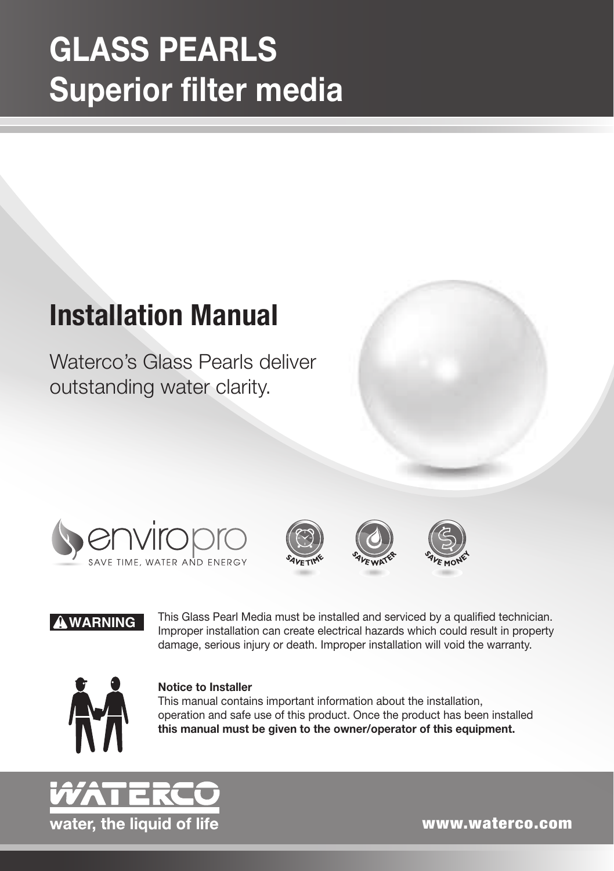# GLASS PEARLS Superior filter media

# **Installation Manual**

Waterco's Glass Pearls deliver outstanding water clarity.









#### ! **WARNING**

This Glass Pearl Media must be installed and serviced by a qualified technician. Improper installation can create electrical hazards which could result in property damage, serious injury or death. Improper installation will void the warranty.



#### Notice to Installer

This manual contains important information about the installation, operation and safe use of this product. Once the product has been installed this manual must be given to the owner/operator of this equipment.



www.waterco.com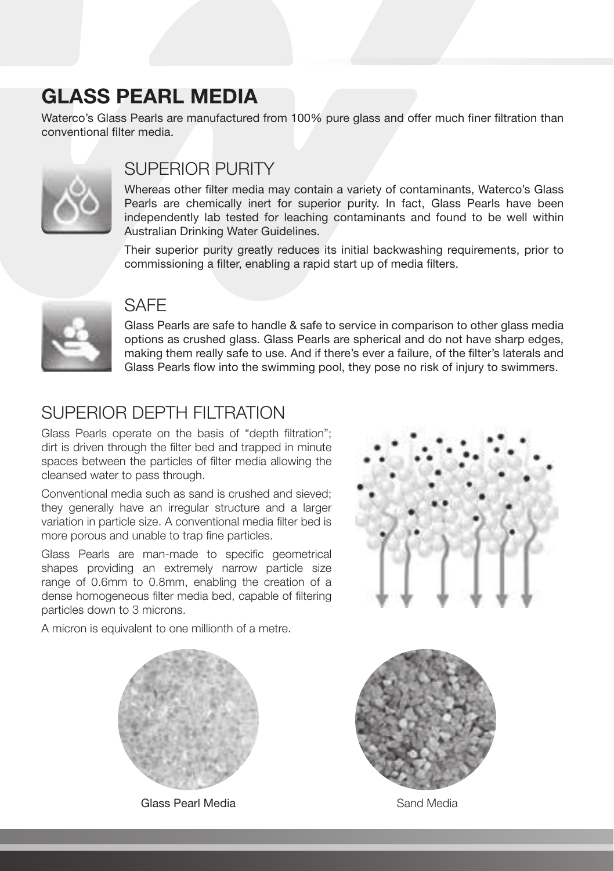## GLASS PEARL MEDIA

Waterco's Glass Pearls are manufactured from 100% pure glass and offer much finer filtration than conventional filter media.



#### SUPERIOR PURITY

Whereas other filter media may contain a variety of contaminants, Waterco's Glass Pearls are chemically inert for superior purity. In fact, Glass Pearls have been independently lab tested for leaching contaminants and found to be well within Australian Drinking Water Guidelines.

Their superior purity greatly reduces its initial backwashing requirements, prior to commissioning a filter, enabling a rapid start up of media filters.



#### **SAFF**

Glass Pearls are safe to handle & safe to service in comparison to other glass media options as crushed glass. Glass Pearls are spherical and do not have sharp edges, making them really safe to use. And if there's ever a failure, of the filter's laterals and Glass Pearls flow into the swimming pool, they pose no risk of injury to swimmers.

## SUPERIOR DEPTH FILTRATION

Glass Pearls operate on the basis of "depth filtration"; dirt is driven through the filter bed and trapped in minute spaces between the particles of filter media allowing the cleansed water to pass through.

Conventional media such as sand is crushed and sieved; they generally have an irregular structure and a larger variation in particle size. A conventional media filter bed is more porous and unable to trap fine particles.

Glass Pearls are man-made to specific geometrical shapes providing an extremely narrow particle size range of 0.6mm to 0.8mm, enabling the creation of a dense homogeneous filter media bed, capable of filtering particles down to 3 microns.



A micron is equivalent to one millionth of a metre.



Glass Pearl Media **Sand Media** Sand Media

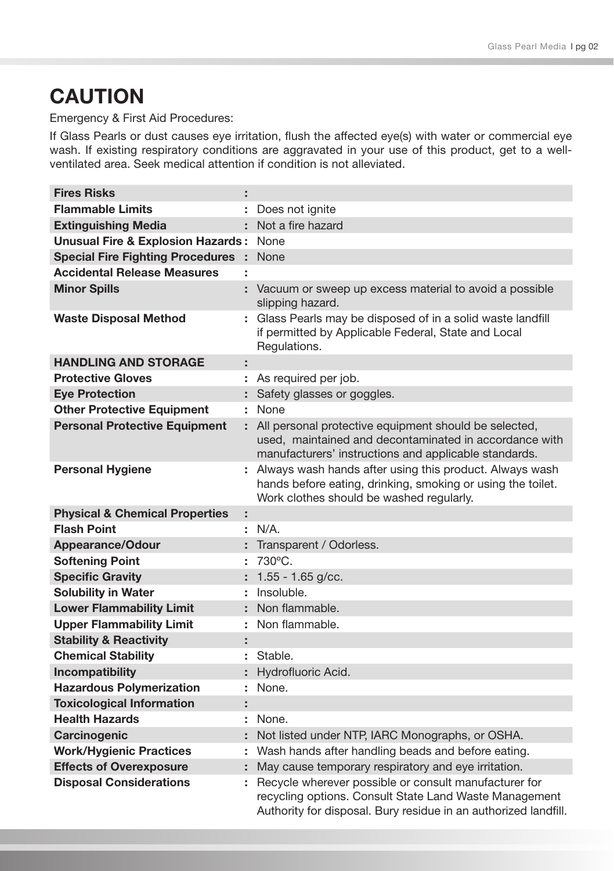# **CAUTION**

Emergency & First Aid Procedures:

If Glass Pearls or dust causes eye irritation, flush the affected eye(s) with water or commercial eye wash. If existing respiratory conditions are aggravated in your use of this product, get to a wellventilated area. Seek medical attention if condition is not alleviated.

| <b>Fires Risks</b>                           | ÷  |                                                                                                                                                                                    |
|----------------------------------------------|----|------------------------------------------------------------------------------------------------------------------------------------------------------------------------------------|
| <b>Flammable Limits</b>                      |    | : Does not ignite                                                                                                                                                                  |
| <b>Extinguishing Media</b>                   |    | : Not a fire hazard                                                                                                                                                                |
| <b>Unusual Fire &amp; Explosion Hazards:</b> |    | None                                                                                                                                                                               |
| <b>Special Fire Fighting Procedures</b>      | ÷. | None                                                                                                                                                                               |
| <b>Accidental Release Measures</b>           | t  |                                                                                                                                                                                    |
| <b>Minor Spills</b>                          |    | : Vacuum or sweep up excess material to avoid a possible<br>slipping hazard.                                                                                                       |
| <b>Waste Disposal Method</b>                 |    | : Glass Pearls may be disposed of in a solid waste landfill<br>if permitted by Applicable Federal, State and Local<br>Regulations.                                                 |
| <b>HANDLING AND STORAGE</b>                  | ÷  |                                                                                                                                                                                    |
| <b>Protective Gloves</b>                     |    | : As required per job.                                                                                                                                                             |
| <b>Eye Protection</b>                        |    | : Safety glasses or goggles.                                                                                                                                                       |
| <b>Other Protective Equipment</b>            |    | : None                                                                                                                                                                             |
| <b>Personal Protective Equipment</b>         |    | : All personal protective equipment should be selected,<br>used, maintained and decontaminated in accordance with<br>manufacturers' instructions and applicable standards.         |
| <b>Personal Hygiene</b>                      |    | : Always wash hands after using this product. Always wash<br>hands before eating, drinking, smoking or using the toilet.<br>Work clothes should be washed regularly.               |
| <b>Physical &amp; Chemical Properties</b>    | ÷  |                                                                                                                                                                                    |
| <b>Flash Point</b>                           |    | : N/A.                                                                                                                                                                             |
| Appearance/Odour                             |    | : Transparent / Odorless.                                                                                                                                                          |
| <b>Softening Point</b>                       | ÷. | 730°C.                                                                                                                                                                             |
| <b>Specific Gravity</b>                      |    | : $1.55 - 1.65$ g/cc.                                                                                                                                                              |
| <b>Solubility in Water</b>                   |    | Insoluble.                                                                                                                                                                         |
| <b>Lower Flammability Limit</b>              |    | : Non flammable.                                                                                                                                                                   |
| <b>Upper Flammability Limit</b>              |    | : Non flammable.                                                                                                                                                                   |
| <b>Stability &amp; Reactivity</b>            | ÷  |                                                                                                                                                                                    |
| <b>Chemical Stability</b>                    | ÷  | Stable.                                                                                                                                                                            |
| Incompatibility                              |    | : Hydrofluoric Acid.                                                                                                                                                               |
| <b>Hazardous Polymerization</b>              | ÷. | None.                                                                                                                                                                              |
| <b>Toxicological Information</b>             | ÷  |                                                                                                                                                                                    |
| <b>Health Hazards</b>                        |    | None.                                                                                                                                                                              |
| Carcinogenic                                 |    | : Not listed under NTP, IARC Monographs, or OSHA.                                                                                                                                  |
| <b>Work/Hygienic Practices</b>               |    | : Wash hands after handling beads and before eating.                                                                                                                               |
| <b>Effects of Overexposure</b>               |    | : May cause temporary respiratory and eye irritation.                                                                                                                              |
| <b>Disposal Considerations</b>               | ÷. | Recycle wherever possible or consult manufacturer for<br>recycling options. Consult State Land Waste Management<br>Authority for disposal. Bury residue in an authorized landfill. |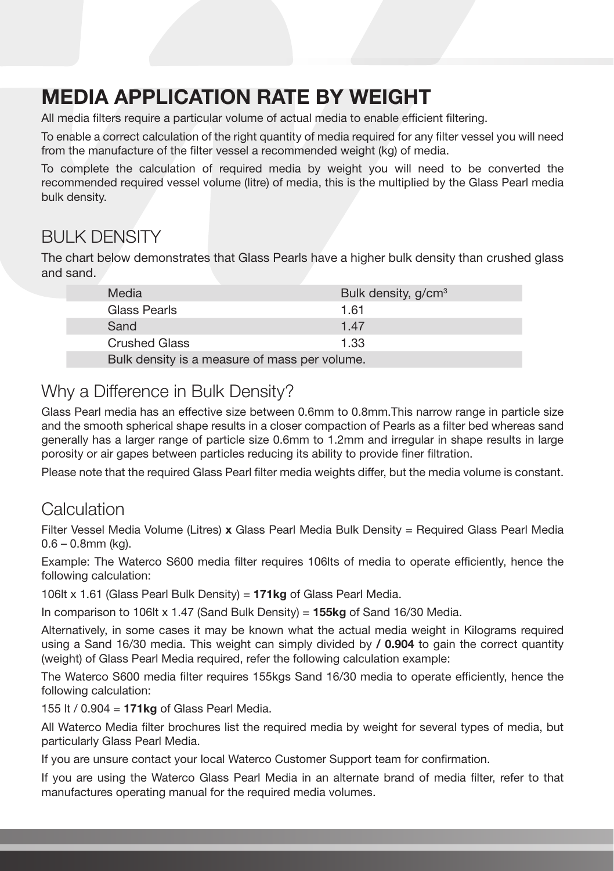# MEDIA APPLICATION RATE BY WEIGHT

All media filters require a particular volume of actual media to enable efficient filtering.

To enable a correct calculation of the right quantity of media required for any filter vessel you will need from the manufacture of the filter vessel a recommended weight (kg) of media.

To complete the calculation of required media by weight you will need to be converted the recommended required vessel volume (litre) of media, this is the multiplied by the Glass Pearl media bulk density.

### BULK DENSITY

The chart below demonstrates that Glass Pearls have a higher bulk density than crushed glass and sand.

| Media                                         | Bulk density, g/cm <sup>3</sup> |
|-----------------------------------------------|---------------------------------|
| Glass Pearls                                  | 1.61                            |
| Sand                                          | 1.47                            |
| <b>Crushed Glass</b>                          | 1.33                            |
| Bulk density is a measure of mass per volume. |                                 |

### Why a Difference in Bulk Density?

Glass Pearl media has an effective size between 0.6mm to 0.8mm.This narrow range in particle size and the smooth spherical shape results in a closer compaction of Pearls as a filter bed whereas sand generally has a larger range of particle size 0.6mm to 1.2mm and irregular in shape results in large porosity or air gapes between particles reducing its ability to provide finer filtration.

Please note that the required Glass Pearl filter media weights differ, but the media volume is constant.

#### **Calculation**

Filter Vessel Media Volume (Litres) x Glass Pearl Media Bulk Density = Required Glass Pearl Media 0.6 – 0.8mm (kg).

Example: The Waterco S600 media filter requires 106lts of media to operate efficiently, hence the following calculation:

106lt x 1.61 (Glass Pearl Bulk Density) = 171kg of Glass Pearl Media.

In comparison to 106lt x 1.47 (Sand Bulk Density) =  $155kg$  of Sand 16/30 Media.

Alternatively, in some cases it may be known what the actual media weight in Kilograms required using a Sand 16/30 media. This weight can simply divided by **/ 0.904** to gain the correct quantity (weight) of Glass Pearl Media required, refer the following calculation example:

The Waterco S600 media filter requires 155kgs Sand 16/30 media to operate efficiently, hence the following calculation:

155 lt / 0.904 =  $171kg$  of Glass Pearl Media.

All Waterco Media filter brochures list the required media by weight for several types of media, but particularly Glass Pearl Media.

If you are unsure contact your local Waterco Customer Support team for confirmation.

If you are using the Waterco Glass Pearl Media in an alternate brand of media filter, refer to that manufactures operating manual for the required media volumes.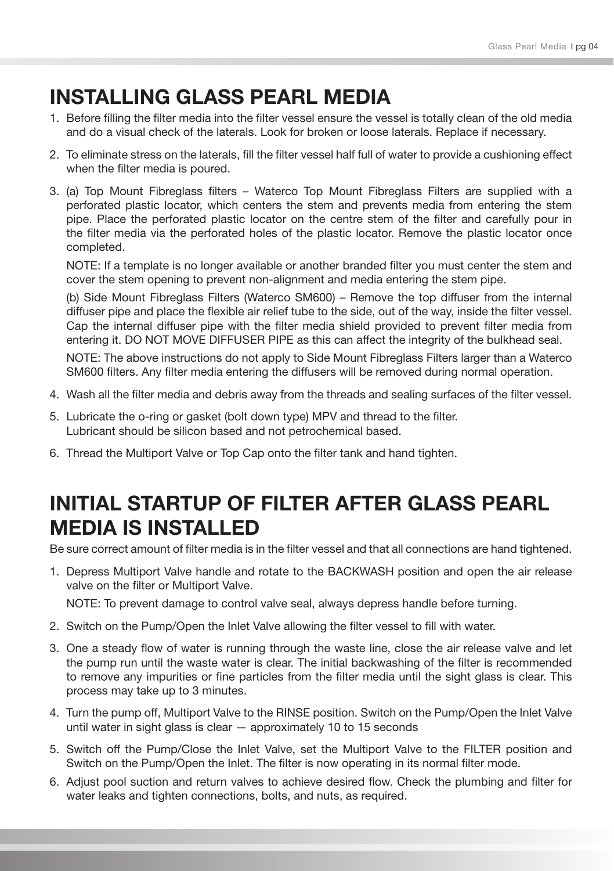## INSTALLING GLASS PEARL MEDIA

- 1. Before filling the filter media into the filter vessel ensure the vessel is totally clean of the old media and do a visual check of the laterals. Look for broken or loose laterals. Replace if necessary.
- 2. To eliminate stress on the laterals, fill the filter vessel half full of water to provide a cushioning effect when the filter media is poured.
- 3. (a) Top Mount Fibreglass filters Waterco Top Mount Fibreglass Filters are supplied with a perforated plastic locator, which centers the stem and prevents media from entering the stem pipe. Place the perforated plastic locator on the centre stem of the filter and carefully pour in the filter media via the perforated holes of the plastic locator. Remove the plastic locator once completed.

NOTE: If a template is no longer available or another branded filter you must center the stem and cover the stem opening to prevent non-alignment and media entering the stem pipe.

(b) Side Mount Fibreglass Filters (Waterco SM600) – Remove the top diffuser from the internal diffuser pipe and place the flexible air relief tube to the side, out of the way, inside the filter vessel. Cap the internal diffuser pipe with the filter media shield provided to prevent filter media from entering it. DO NOT MOVE DIFFUSER PIPE as this can affect the integrity of the bulkhead seal.

NOTE: The above instructions do not apply to Side Mount Fibreglass Filters larger than a Waterco SM600 filters. Any filter media entering the diffusers will be removed during normal operation.

- 4. Wash all the filter media and debris away from the threads and sealing surfaces of the filter vessel.
- 5. Lubricate the o-ring or gasket (bolt down type) MPV and thread to the filter. Lubricant should be silicon based and not petrochemical based.
- 6. Thread the Multiport Valve or Top Cap onto the filter tank and hand tighten.

## INITIAL STARTUP OF FILTER AFTER GLASS PEARL **MEDIA IS INSTALLED**

Be sure correct amount of filter media is in the filter vessel and that all connections are hand tightened.

1. Depress Multiport Valve handle and rotate to the BACKWASH position and open the air release valve on the filter or Multiport Valve.

NOTE: To prevent damage to control valve seal, always depress handle before turning.

- 2. Switch on the Pump/Open the Inlet Valve allowing the filter vessel to fill with water.
- 3. One a steady flow of water is running through the waste line, close the air release valve and let the pump run until the waste water is clear. The initial backwashing of the filter is recommended to remove any impurities or fine particles from the filter media until the sight glass is clear. This process may take up to 3 minutes.
- 4. Turn the pump off, Multiport Valve to the RINSE position. Switch on the Pump/Open the Inlet Valve until water in sight glass is clear — approximately 10 to 15 seconds
- 5. Switch off the Pump/Close the Inlet Valve, set the Multiport Valve to the FILTER position and Switch on the Pump/Open the Inlet. The filter is now operating in its normal filter mode.
- 6. Adjust pool suction and return valves to achieve desired flow. Check the plumbing and filter for water leaks and tighten connections, bolts, and nuts, as required.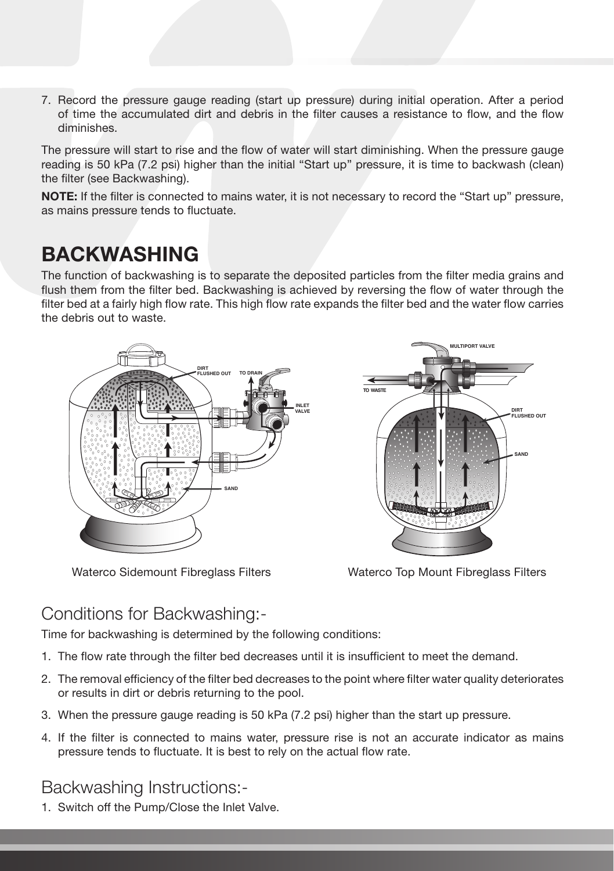7. Record the pressure gauge reading (start up pressure) during initial operation. After a period of time the accumulated dirt and debris in the filter causes a resistance to flow, and the flow diminishes.

The pressure will start to rise and the flow of water will start diminishing. When the pressure gauge reading is 50 kPa (7.2 psi) higher than the initial "Start up" pressure, it is time to backwash (clean) the filter (see Backwashing).

NOTE: If the filter is connected to mains water, it is not necessary to record the "Start up" pressure, as mains pressure tends to fluctuate.

## BACKWASHING

The function of backwashing is to separate the deposited particles from the filter media grains and flush them from the filter bed. Backwashing is achieved by reversing the flow of water through the filter bed at a fairly high flow rate. This high flow rate expands the filter bed and the water flow carries the debris out to waste.







#### Conditions for Backwashing:-

Time for backwashing is determined by the following conditions:

- 1. The flow rate through the filter bed decreases until it is insufficient to meet the demand.
- 2. The removal efficiency of the filter bed decreases to the point where filter water quality deteriorates or results in dirt or debris returning to the pool.
- 3. When the pressure gauge reading is 50 kPa (7.2 psi) higher than the start up pressure.
- 4. If the filter is connected to mains water, pressure rise is not an accurate indicator as mains pressure tends to fluctuate. It is best to rely on the actual flow rate.

#### Backwashing Instructions:-

1. Switch off the Pump/Close the Inlet Valve.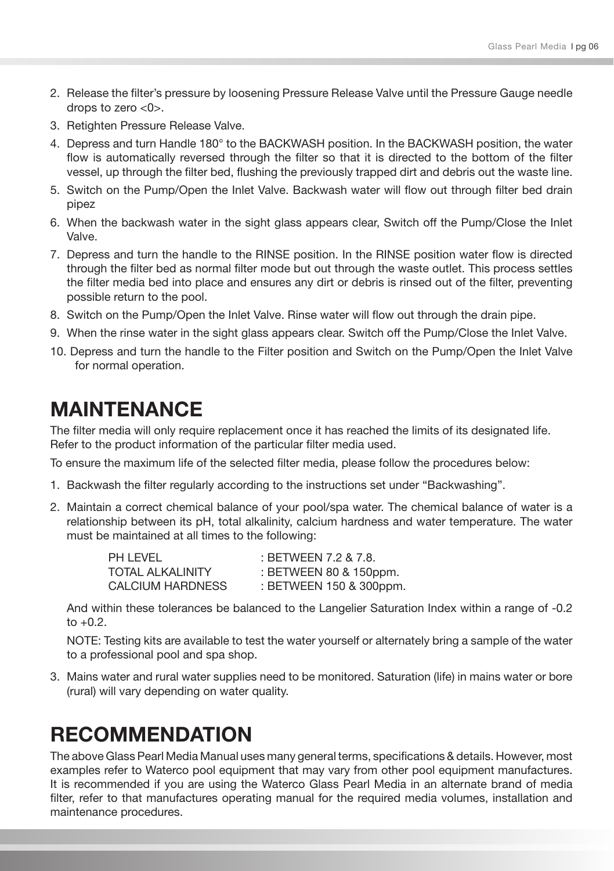- 2. Release the filter's pressure by loosening Pressure Release Valve until the Pressure Gauge needle drops to zero <0>.
- 3. Retighten Pressure Release Valve.
- 4. Depress and turn Handle 180° to the BACKWASH position. In the BACKWASH position, the water flow is automatically reversed through the filter so that it is directed to the bottom of the filter vessel, up through the filter bed, flushing the previously trapped dirt and debris out the waste line.
- 5. Switch on the Pump/Open the Inlet Valve. Backwash water will flow out through filter bed drain pipez
- 6. When the backwash water in the sight glass appears clear, Switch off the Pump/Close the Inlet Valve.
- 7. Depress and turn the handle to the RINSE position. In the RINSE position water flow is directed through the filter bed as normal filter mode but out through the waste outlet. This process settles the filter media bed into place and ensures any dirt or debris is rinsed out of the filter, preventing possible return to the pool.
- 8. Switch on the Pump/Open the Inlet Valve. Rinse water will flow out through the drain pipe.
- 9. When the rinse water in the sight glass appears clear. Switch off the Pump/Close the Inlet Valve.
- 10. Depress and turn the handle to the Filter position and Switch on the Pump/Open the Inlet Valve for normal operation.

## MAINTENANCE

The filter media will only require replacement once it has reached the limits of its designated life. Refer to the product information of the particular filter media used.

To ensure the maximum life of the selected filter media, please follow the procedures below:

- 1. Backwash the filter regularly according to the instructions set under "Backwashing".
- 2. Maintain a correct chemical balance of your pool/spa water. The chemical balance of water is a relationship between its pH, total alkalinity, calcium hardness and water temperature. The water must be maintained at all times to the following:

| PH LEVEL                | : BETWEEN 7.2 & 7.8.    |
|-------------------------|-------------------------|
| <b>TOTAL ALKALINITY</b> | : BETWEEN 80 & 150ppm.  |
| CALCIUM HARDNESS        | : BETWEEN 150 & 300ppm. |

And within these tolerances be balanced to the Langelier Saturation Index within a range of -0.2 to  $+0.2$ .

NOTE: Testing kits are available to test the water yourself or alternately bring a sample of the water to a professional pool and spa shop.

3. Mains water and rural water supplies need to be monitored. Saturation (life) in mains water or bore (rural) will vary depending on water quality.

## **RECOMMENDATION**

The above Glass Pearl Media Manual uses many general terms, specifications & details. However, most examples refer to Waterco pool equipment that may vary from other pool equipment manufactures. It is recommended if you are using the Waterco Glass Pearl Media in an alternate brand of media filter, refer to that manufactures operating manual for the required media volumes, installation and maintenance procedures.